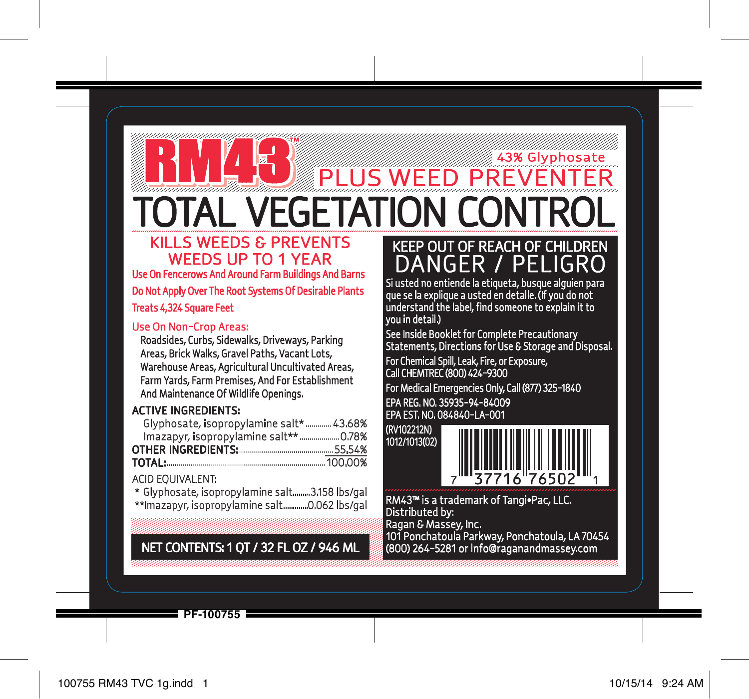# **PLUS WEED PREVENTER** TOTAL VEGETATION CONTROL KILLS WEEDS & PREVENTS

# WEEDS UP TO 1 YEAR

Use On Fencerows And Around Farm Buildings And Barns Do Not Apply Over The Root Systems Of Desirable Plants

Treats 4,324 Square Feet

## Use On Non-Crop Areas:

Roadsides, Curbs, Sidewalks, Driveways, Parking Areas, Brick Walks, Gravel Paths, Vacant Lots, Warehouse Areas, Agricultural Uncultivated Areas, Farm Yards, Farm Premises, And For Establishment And Maintenance Of Wildlife Openings.

## ACTIVE INGREDIENTS:

| Glyphosate, isopropylamine salt* 43.68% |         |
|-----------------------------------------|---------|
|                                         |         |
|                                         | .55.54% |
| TOTAL:                                  | 100.00% |

## ACID EQUIVALENT:

\* Glyphosate, isopropylamine salt.........3.158 lbs/gal \*\*Imazapyr, isopropylamine salt.............0.062 lbs/gal

## NET CONTENTS: 1 QT / 32 FL OZ / 946 ML (800) 264-5281 or info@raganandmassey.com

## KEEP OUT OF REACH OF CHILDREN DANGER / PELIGRO

43% Glyphosate

Si usted no entiende la etiqueta, busque alguien para que se la explique a usted en detalle. (If you do not understand the label, find someone to explain it to you in detail.)

See Inside Booklet for Complete Precautionary Statements, Directions for Use & Storage and Disposal.

For Chemical Spill, Leak, Fire, or Exposure, Call CHEMTREC (800) 424-9300

For Medical Emergencies Only, Call (877) 325-1840 EPA REG. NO. 35935-94-84009 EPA EST. NO. 084840-LA-001

(RV102212N) 1012/1013(02)



RM43™ is a trademark of Tangi•Pac, LLC. Distributed by: Ragan & Massey, Inc.

101 Ponchatoula Parkway, Ponchatoula, LA 70454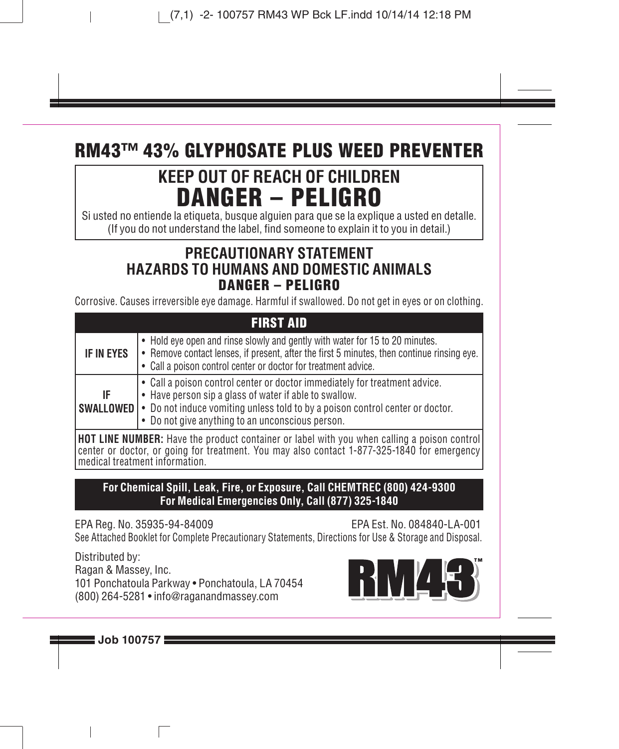## **RM43™ 43% GLYPHOSATE PLUS WEED PREVENTER**

## **KEEP OUT OF REACH OF CHILDREN DANGER – PELIGRO**

Si usted no entiende la etiqueta, busque alguien para que se la explique a usted en detalle. (If you do not understand the label, find someone to explain it to you in detail.)

## **PRECAUTIONARY STATEMENT HAZARDS TO HUMANS AND DOMESTIC ANIMALS DANGER – PELIGRO**

Corrosive. Causes irreversible eye damage. Harmful if swallowed. Do not get in eyes or on clothing.

| <b>FIRST AID</b>                                                                            |                                                                                                                                                                                                                                                                                                  |  |
|---------------------------------------------------------------------------------------------|--------------------------------------------------------------------------------------------------------------------------------------------------------------------------------------------------------------------------------------------------------------------------------------------------|--|
| IF IN EYES                                                                                  | • Hold eve open and rinse slowly and gently with water for 15 to 20 minutes.<br>• Remove contact lenses, if present, after the first 5 minutes, then continue rinsing eve.<br>• Call a poison control center or doctor for treatment advice.                                                     |  |
| IF                                                                                          | • Call a poison control center or doctor immediately for treatment advice.<br>• Have person sip a glass of water if able to swallow.<br><b>SWALLOWED</b> $\cdot$ Do not induce vomiting unless told to by a poison control center or doctor.<br>• Do not give anything to an unconscious person. |  |
| HOT LINE NUMBER: Have the product container or label with you when calling a poison control |                                                                                                                                                                                                                                                                                                  |  |

**HOT LINE NUMBER:** Have the product container or label with you when calling a poison control center or doctor, or going for treatment. You may also contact 1-877-325-1840 for emergency medical treatment information.

### **For Chemical Spill, Leak, Fire, or Exposure, Call CHEMTREC (800) 424-9300 For Medical Emergencies Only, Call (877) 325-1840**

EPA Reg. No. 35935-94-84009 EPA Est. No. 084840-LA-001 See Attached Booklet for Complete Precautionary Statements, Directions for Use & Storage and Disposal.

Distributed by: Ragan & Massey, Inc. 101 Ponchatoula Parkway • Ponchatoula, LA 70454 (800) 264-5281 • info@raganandmassey.com

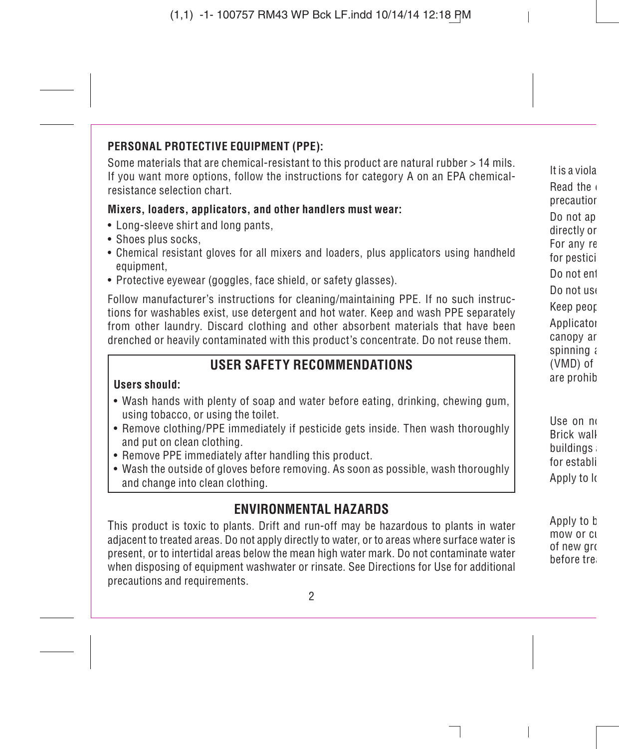### **PERSONAL PROTECTIVE EQUIPMENT (PPE):**

Some materials that are chemical-resistant to this product are natural rubber > 14 mils. If you want more options, follow the instructions for category A on an EPA chemicalresistance selection chart.

#### **Mixers, loaders, applicators, and other handlers must wear:**

- Long-sleeve shirt and long pants,
- Shoes plus socks,
- Chemical resistant gloves for all mixers and loaders, plus applicators using handheld equipment,
- Protective eyewear (goggles, face shield, or safety glasses).

Follow manufacturer's instructions for cleaning/maintaining PPE. If no such instructions for washables exist, use detergent and hot water. Keep and wash PPE separately from other laundry. Discard clothing and other absorbent materials that have been drenched or heavily contaminated with this product's concentrate. Do not reuse them.

## **USER SAFETY RECOMMENDATIONS**

### **Users should:**

- Wash hands with plenty of soap and water before eating, drinking, chewing gum, using tobacco, or using the toilet.
- Remove clothing/PPE immediately if pesticide gets inside. Then wash thoroughly and put on clean clothing.
- Remove PPE immediately after handling this product.
- Wash the outside of gloves before removing. As soon as possible, wash thoroughly and change into clean clothing.

## **ENVIRONMENTAL HAZARDS**

This product is toxic to plants. Drift and run-off may be hazardous to plants in water adjacent to treated areas. Do not apply directly to water, or to areas where surface water is present, or to intertidal areas below the mean high water mark. Do not contaminate water when disposing of equipment washwater or rinsate. See Directions for Use for additional precautions and requirements.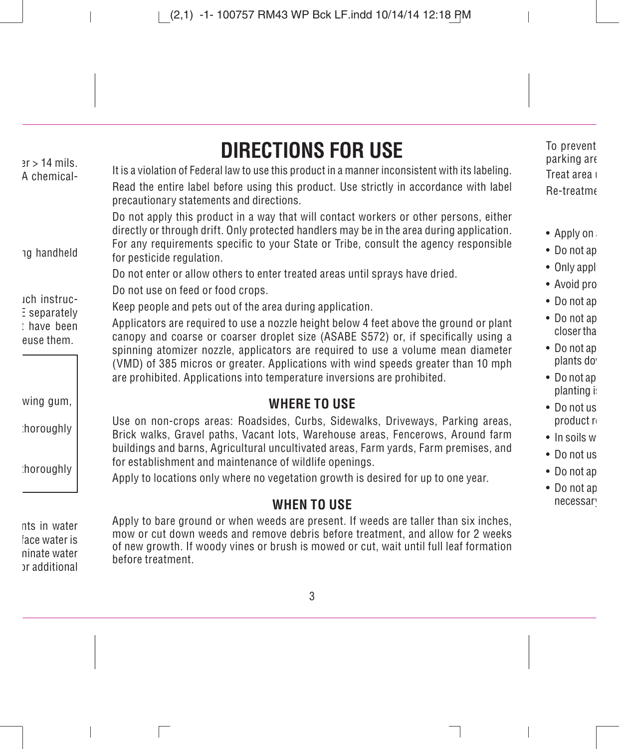# **DIRECTIONS FOR USE**

It is a violation of Federal law to use this product in a manner inconsistent with its labeling.

Read the entire label before using this product. Use strictly in accordance with label precautionary statements and directions.

Do not apply this product in a way that will contact workers or other persons, either directly or through drift. Only protected handlers may be in the area during application. For any requirements specific to your State or Tribe, consult the agency responsible for pesticide regulation.

Do not enter or allow others to enter treated areas until sprays have dried.

Do not use on feed or food crops.

Keep people and pets out of the area during application.

Applicators are required to use a nozzle height below 4 feet above the ground or plant  $c$ anopy and coarse or coarser droplet size (ASABE S572) or, if specifically using a spinning atomizer nozzle, applicators are required to use a volume mean diameter (VMD) of 385 micros or greater. Applications with wind speeds greater than 10 mph are prohibited. Applications into temperature inversions are prohibited.

## **WHERE TO USE**

Use on non-crops areas: Roadsides, Curbs, Sidewalks, Driveways, Parking areas, Brick walks, Gravel paths, Vacant lots, Warehouse areas, Fencerows, Around farm buildings and barns, Agricultural uncultivated areas, Farm yards, Farm premises, and for establishment and maintenance of wildlife openings.

Apply to locations only where no vegetation growth is desired for up to one year.

## **WHEN TO USE**

Apply to bare ground or when weeds are present. If weeds are taller than six inches, mow or cut down weeds and remove debris before treatment, and allow for 2 weeks of new growth. If woody vines or brush is mowed or cut, wait until full leaf formation before treatment.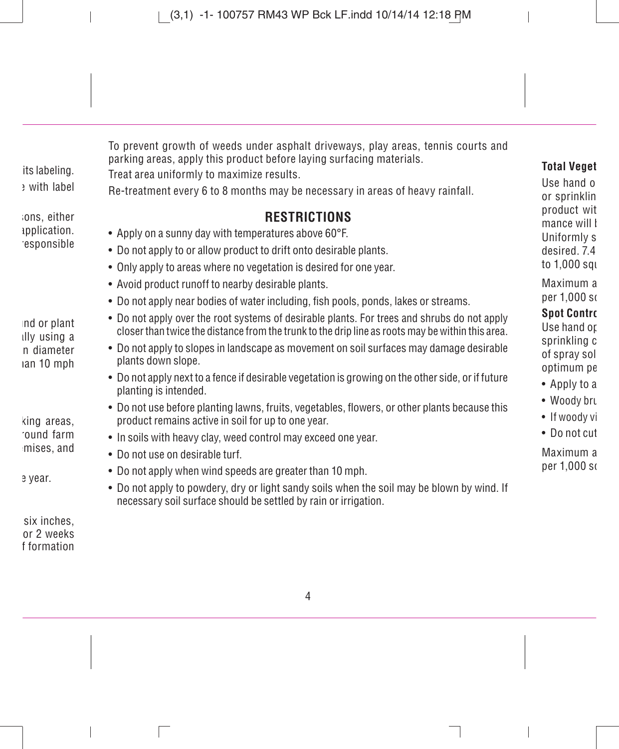To prevent growth of weeds under asphalt driveways, play areas, tennis courts and parking areas, apply this product before laying surfacing materials.

Treat area uniformly to maximize results.

Re-treatment every 6 to 8 months may be necessary in areas of heavy rainfall.

## **RESTRICTIONS**

- Apply on a sunny day with temperatures above 60°F.
- Do not apply to or allow product to drift onto desirable plants.
- Only apply to areas where no vegetation is desired for one year.
- Avoid product runoff to nearby desirable plants.
- Do not apply near bodies of water including, fish pools, ponds, lakes or streams.
- Do not apply over the root systems of desirable plants. For trees and shrubs do not apply closer than twice the distance from the trunk to the drip line as roots may be within this area.
- Do not apply to slopes in landscape as movement on soil surfaces may damage desirable plants down slope.
- Do not apply next to a fence if desirable vegetation is growing on the other side, or if future planting is intended.
- Do not use before planting lawns, fruits, vegetables, flowers, or other plants because this product remains active in soil for up to one year.
- In soils with heavy clay, weed control may exceed one year.
- Do not use on desirable turf.
- Do not apply when wind speeds are greater than 10 mph.
- Do not apply to powdery, dry or light sandy soils when the soil may be blown by wind. If necessary soil surface should be settled by rain or irrigation.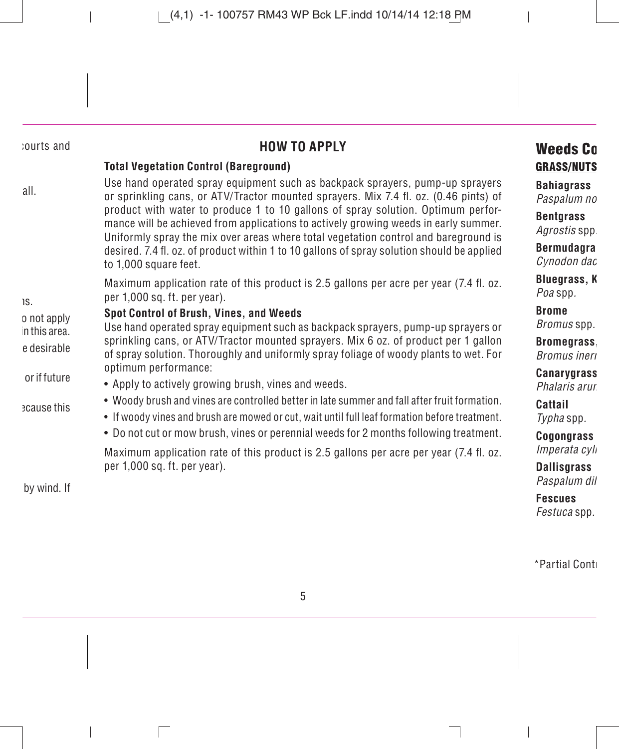## **HOW TO APPLY**

#### **Total Vegetation Control (Bareground)**

Use hand operated spray equipment such as backpack sprayers, pump-up sprayers or sprinkling cans, or ATV/Tractor mounted sprayers. Mix 7.4 fl . oz. (0.46 pints) of product with water to produce 1 to 10 gallons of spray solution. Optimum performance will be achieved from applications to actively growing weeds in early summer. Uniformly spray the mix over areas where total vegetation control and bareground is desired. 7.4 fl. oz. of product within 1 to 10 gallons of spray solution should be applied. to 1.000 square feet.

Maximum application rate of this product is 2.5 gallons per acre per year (7.4 fl. oz.) per 1,000 sq. ft. per year).

#### **Spot Control of Brush, Vines, and Weeds**

Use hand operated spray equipment such as backpack sprayers, pump-up sprayers or sprinkling cans, or ATV/Tractor mounted sprayers. Mix 6 oz. of product per 1 gallon of spray solution. Thoroughly and uniformly spray foliage of woody plants to wet. For optimum performance:

- Apply to actively growing brush, vines and weeds.
- Woody brush and vines are controlled better in late summer and fall after fruit formation.
- If woody vines and brush are mowed or cut, wait until full leaf formation before treatment.
- Do not cut or mow brush, vines or perennial weeds for 2 months following treatment.

Maximum application rate of this product is 2.5 gallons per acre per year (7.4 fl. oz. per 1,000 sq. ft. per year).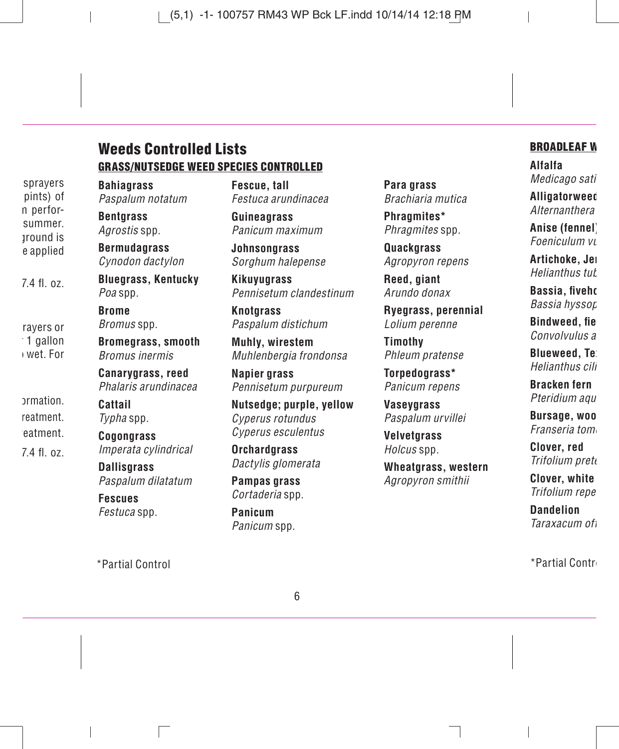### **Weeds Controlled Lists GRASS/NUTSEDGE WEED SPECIES CONTROLLED**

**Bahiagrass** Paspalum notatum

**Bentgrass** Agrostis spp.

**Bermudagrass** Cynodon dactylon

**Bluegrass, Kentucky** Poa spp.

**Brome** Bromus spp.

**Bromegrass, smooth** Bromus inermis

**Canarygrass, reed** Phalaris arundinacea

**Cattail** Typha spp.

**Cogongrass** Imperata cylindrical

**Dallisgrass** Paspalum dilatatum

**Fescues** Festuca spp.

\*Partial Control \*Partial Contro

**Fescue, tall** Festuca arundinacea

**Guineagrass** Panicum maximum

**Johnsongrass** Sorghum halepense

**Kikuyugrass** Pennisetum clandestinum

**Knotarass** Paspalum distichum

**Muhly, wirestem** Muhlenbergia frondonsa

**Napier grass** Pennisetum purpureum

**Nutsedge; purple, yellow** Cyperus rotundus Cyperus esculentus

**Orchardgrass** Dactylis glomerata

**Pampas grass** Cortaderia spp.

**Panicum** Panicum spp. **Para grass** Brachiaria mutica

**Phragmites\*** Phragmites spp.

**Quackgrass** Agropyron repens

**Reed, giant** Arundo donax

**Ryegrass, perennial** Lolium perenne

**Timothy** Phleum pratense

**Torpedograss\*** Panicum repens

**Vaseygrass** Paspalum urvillei

**Velvetgrass** Holcus spp.

**Wheatgrass, western** Agropyron smithii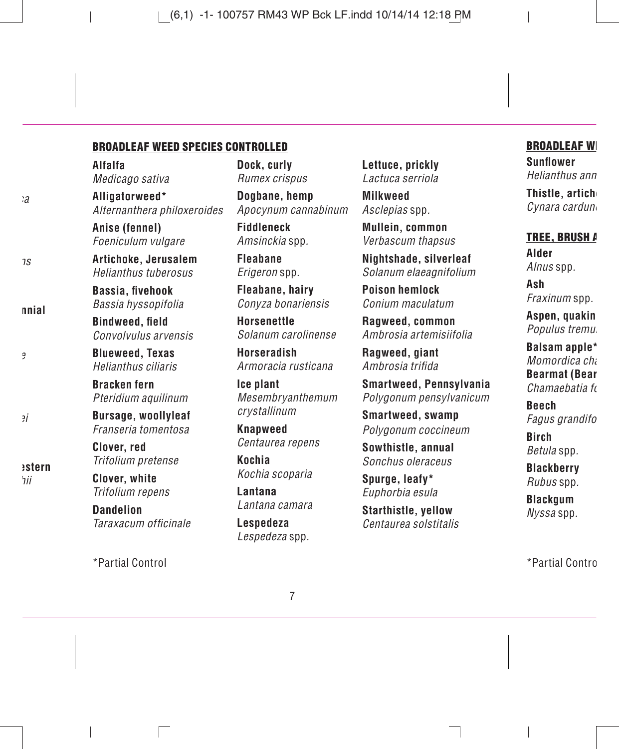#### **BROADLEAF WEED SPECIES CONTROLLED**

**Alfalfa** Medicago sativa

**Alligatorweed\*** Alternanthera philoxeroides

**Anise (fennel)** Foeniculum vulgare

**Artichoke, Jerusalem** Helianthus tuberosus

**Bassia, fi vehook** Bassia hyssopifolia

**Bindweed** field Convolvulus arvensis

**Blueweed, Texas** Helianthus ciliaris

**Bracken fern** Pteridium aquilinum

**Bursage, woollyleaf** Franseria tomentosa

**Clover, red** Trifolium pretense

**Clover, white** Trifolium repens

**Dandelion** Taraxacum officinale

\*Partial Control \*Partial Contro

**Dock, curly** Rumex crispus

**Dogbane, hemp** Apocynum cannabinum

**Fiddleneck** Amsinckia spp.

**Fleabane** Erigeron spp.

**Fleabane, hairy** Conyza bonariensis

**Horsenettle** Solanum carolinense

**Horseradish** Armoracia rusticana

**Ice plant** Mesembryanthemum crystallinum

**Knapweed** Centaurea repens

**Kochia** Kochia scoparia

**Lantana** Lantana camara

**Lespedeza** Lespedeza spp. **Lettuce, prickly** Lactuca serriola

**Milkweed** Asclepias spp.

**Mullein, common** Verbascum thapsus

**Nightshade, silverleaf** Solanum elaeagnifolium

**Poison hemlock** Conium maculatum

**Ragweed, common** Ambrosia artemisiifolia

**Ragweed, giant** Amhrosia trifida

**Smartweed, Pennsylvania** Polygonum pensylvanicum

**Smartweed, swamp** Polygonum coccineum

**Sowthistle, annual** Sonchus oleraceus

**Spurge, leafy\*** Euphorbia esula

**Starthistle, yellow** Centaurea solstitalis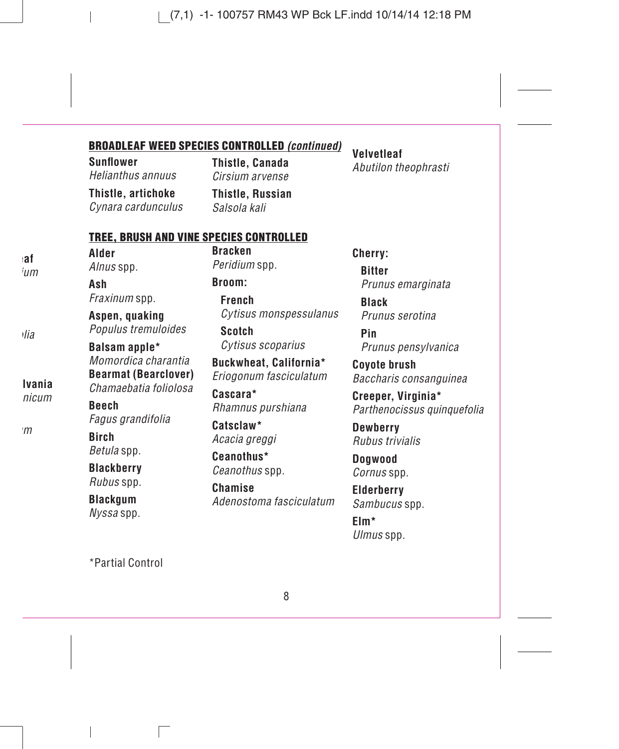#### **BROADLEAF WEED SPECIES CONTROLLED** *(continued)*

**Sunfl ower** Helianthus annuus

**Thistle, artichoke** Cynara cardunculus **Thistle, Canada** Cirsium arvense

**Thistle, Russian** Salsola kali

#### **TREE, BRUSH AND VINE SPECIES CONTROLLED**

**Alder** Alnus spp.

**Ash** Fraxinum spp.

**Aspen, quaking** Populus tremuloides

**Balsam apple\*** Momordica charantia **Bearmat (Bearclover)** Chamaebatia foliolosa

**Beech** Fagus grandifolia

**Birch** Betula spp.

**Blackberry** Rubus spp.

**Blackgum** Nyssa spp. **Bracken** Peridium spp.

**Broom:**

**French** Cytisus monspessulanus

**Scotch** Cytisus scoparius

**Buckwheat, California\*** Eriogonum fasciculatum

**Cascara\*** Rhamnus purshiana

**Catsclaw\*** Acacia greggi

**Ceanothus\*** Ceanothus spp.

**Chamise** Adenostoma fasciculatum **Cherry: Bitter** Prunus emarginata

**Black** Prunus serotina

**Pin** Prunus pensylvanica

**Coyote brush** Baccharis consanguinea

**Creeper, Virginia\*** Parthenocissus quinquefolia

**Dewberry** Rubus trivialis

**Dogwood** Cornus spp.

**Elderberry** Sambucus spp.

**Elm\*** Ulmus spp.

\*Partial Control

**Velvetleaf** Abutilon theophrasti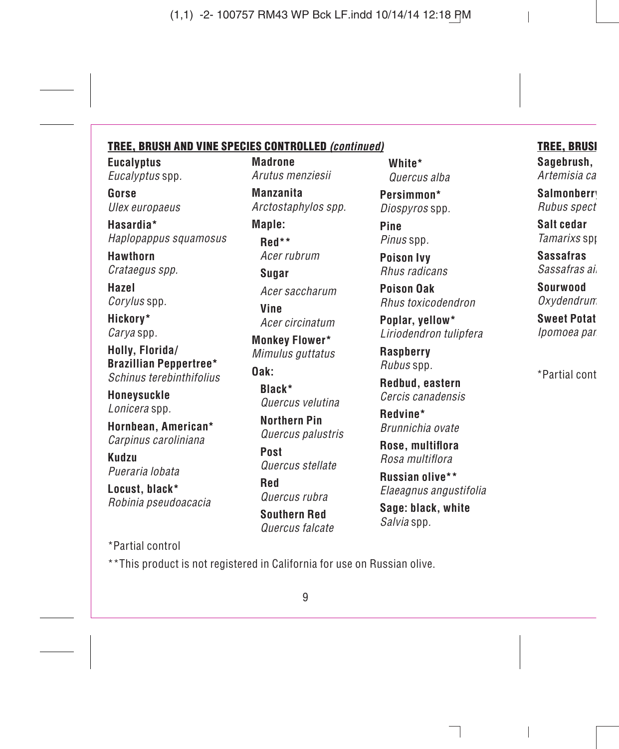#### **TREE, BRUSH AND VINE SPECIES CONTROLLED** *(continued)*

**Eucalyptus** Eucalyptus spp.

**Gorse** Ulex europaeus

**Hasardia\*** Haplopappus squamosus

**Hawthorn** Crataegus spp.

**Hazel** Corylus spp.

**Hickory\*** Carya spp.

**Holly, Florida/ Brazillian Peppertree\*** Schinus terebinthifolius

**Honeysuckle** Lonicera spp.

**Hornbean, American\*** Carpinus caroliniana

**Kudzu** Pueraria lobata

**Locust, black\*** Robinia pseudoacacia **Madrone** Arutus menziesii

**Manzanita** Arctostaphylos spp.

**Maple: Red\*\*** Acer rubrum

**Sugar** Acer saccharum

**Vine** Acer circinatum

**Monkey Flower\*** Mimulus guttatus

#### **Oak:**

**Black\*** Quercus velutina

**Northern Pin** Quercus palustris

**Post** Quercus stellate

**Red** Quercus rubra

**Southern Red** Quercus falcate **White\*** Quercus alba

**Persimmon\*** Diospyros spp.

**Pine** Pinus spp.

**Poison Ivy** Rhus radicans

**Poison Oak** Rhus toxicodendron

**Poplar, yellow\*** Liriodendron tulipfera

**Raspberry** Rubus spp.

**Redbud, eastern** Cercis canadensis

**Redvine\*** Brunnichia ovate

**Rose, multiflora** Rosa multiflora

**Russian olive\*\*** Elaeagnus angustifolia

**Sage: black, white** Salvia spp.

\*Partial control

\*\*This product is not registered in California for use on Russian olive.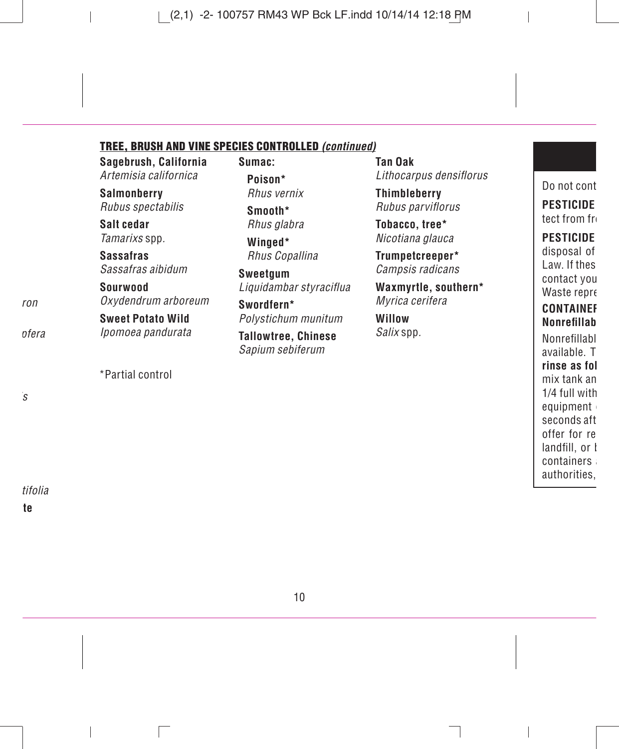#### **TREE, BRUSH AND VINE SPECIES CONTROLLED** *(continued)*

**Sagebrush, California** Artemisia californica

**Salmonberry** Rubus spectabilis

**Salt cedar** Tamarixs spp.

**Sassafras** Sassafras aibidum

**Sourwood** Oxydendrum arboreum

**Sweet Potato Wild** Ipomoea pandurata

\*Partial control

**Sumac: Poison\*** Rhus vernix

> **Smooth\*** Rhus glabra

**Winged\*** Rhus Copallina

**Sweetgum** Liquidambar styraciflua

**Swordfern\*** Polystichum munitum

**Tallowtree, Chinese** Sapium sebiferum

**Tan Oak** Lithocarpus densiflorus

**Thimbleberry** Rubus parviflorus

**Tobacco, tree\*** Nicotiana glauca

**Trumpetcreeper\*** Campsis radicans

**Waxmyrtle, southern\***

Myrica cerifera

**Willow** Salix spp.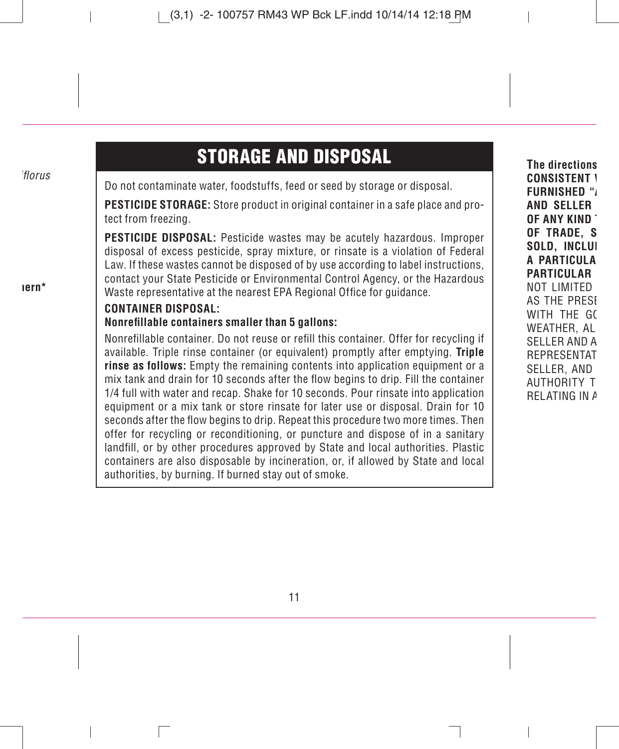## **STORAGE AND DISPOSAL**

Do not contaminate water, foodstuffs, feed or seed by storage or disposal.

**PESTICIDE STORAGE:** Store product in original container in a safe place and protect from freezing.

**PESTICIDE DISPOSAL:** Pesticide wastes may be acutely hazardous. Improper disposal of excess pesticide, spray mixture, or rinsate is a violation of Federal Law. If these wastes cannot be disposed of by use according to label instructions, contact your State Pesticide or Environmental Control Agency, or the Hazardous Waste representative at the nearest EPA Regional Office for guidance.

#### **CONTAINER DISPOSAL:**

#### **Nonrefi llable containers smaller than 5 gallons:**

Nonrefillable container. Do not reuse or refill this container. Offer for recycling if available. Triple rinse container (or equivalent) promptly after emptying. **Triple rinse as follows:** Empty the remaining contents into application equipment or a mix tank and drain for 10 seconds after the flow begins to drip. Fill the container 1/4 full with water and recap. Shake for 10 seconds. Pour rinsate into application equipment or a mix tank or store rinsate for later use or disposal. Drain for 10 seconds after the flow begins to drip. Repeat this procedure two more times. Then offer for recycling or reconditioning, or puncture and dispose of in a sanitary landfill, or by other procedures approved by State and local authorities. Plastic containers are also disposable by incineration, or, if allowed by State and local authorities, by burning. If burned stay out of smoke.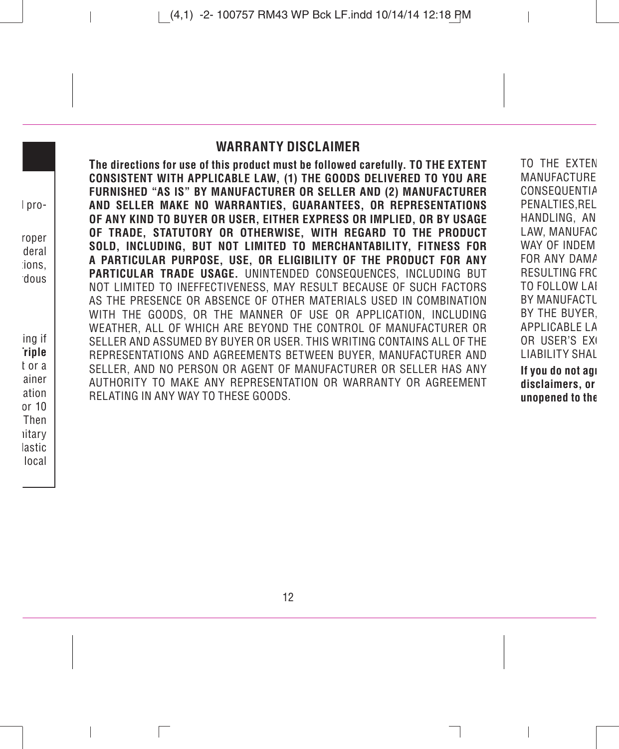### **WARRANTY DISCLAIMER**

**The directions for use of this product must be followed carefully. TO THE EXTENT CONSISTENT WITH APPLICABLE LAW, (1) THE GOODS DELIVERED TO YOU ARE FURNISHED "AS IS" BY MANUFACTURER OR SELLER AND (2) MANUFACTURER AND SELLER MAKE NO WARRANTIES, GUARANTEES, OR REPRESENTATIONS OF ANY KIND TO BUYER OR USER, EITHER EXPRESS OR IMPLIED, OR BY USAGE OF TRADE, STATUTORY OR OTHERWISE, WITH REGARD TO THE PRODUCT SOLD, INCLUDING, BUT NOT LIMITED TO MERCHANTABILITY, FITNESS FOR A PARTICULAR PURPOSE, USE, OR ELIGIBILITY OF THE PRODUCT FOR ANY PARTICULAR TRADE USAGE.** UNINTENDED CONSEQUENCES, INCLUDING BUT NOT LIMITED TO INEFFECTIVENESS, MAY RESULT BECAUSE OF SUCH FACTORS AS THE PRESENCE OR ABSENCE OF OTHER MATERIALS USED IN COMBINATION WITH THE GOODS, OR THE MANNER OF USE OR APPLICATION, INCLUDING WEATHER, ALL OF WHICH ARE BEYOND THE CONTROL OF MANUFACTURER OR SELLER AND ASSUMED BY BUYER OR USER. THIS WRITING CONTAINS ALL OF THE REPRESENTATIONS AND AGREEMENTS BETWEEN BUYER, MANUFACTURER AND SELLER, AND NO PERSON OR AGENT OF MANUFACTURER OR SELLER HAS ANY AUTHORITY TO MAKE ANY REPRESENTATION OR WARRANTY OR AGREEMENT RELATING IN ANY WAY TO THESE GOODS.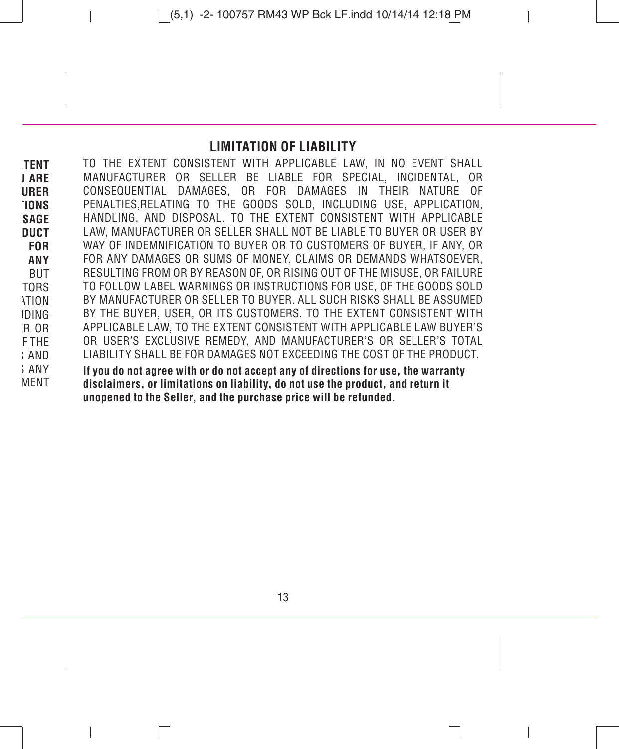### **LIMITATION OF LIABILITY**

TO THE EXTENT CONSISTENT WITH APPLICABLE LAW, IN NO EVENT SHALL MANUFACTURER OR SELLER BE LIABLE FOR SPECIAL, INCIDENTAL, OR DAMAGES, OR FOR DAMAGES IN THEIR NATURE OF PENALTIES,RELATING TO THE GOODS SOLD, INCLUDING USE, APPLICATION, HANDLING, AND DISPOSAL. TO THE EXTENT CONSISTENT WITH APPLICABLE LAW, MANUFACTURER OR SELLER SHALL NOT BE LIABLE TO BUYER OR USER BY WAY OF INDEMNIFICATION TO BUYER OR TO CUSTOMERS OF BUYER, IF ANY, OR FOR ANY DAMAGES OR SUMS OF MONEY, CLAIMS OR DEMANDS WHATSOEVER, RESULTING FROM OR BY REASON OF, OR RISING OUT OF THE MISUSE, OR FAILURE TO FOLLOW LABEL WARNINGS OR INSTRUCTIONS FOR USE, OF THE GOODS SOLD BY MANUFACTURER OR SELLER TO BUYER. ALL SUCH RISKS SHALL BE ASSUMED BY THE BUYER, USER, OR ITS CUSTOMERS. TO THE EXTENT CONSISTENT WITH APPLICABLE LAW, TO THE EXTENT CONSISTENT WITH APPLICABLE LAW BUYER'S OR USER'S EXCLUSIVE REMEDY, AND MANUFACTURER'S OR SELLER'S TOTAL LIABILITY SHALL BE FOR DAMAGES NOT EXCEEDING THE COST OF THE PRODUCT. **If you do not agree with or do not accept any of directions for use, the warranty disclaimers, or limitations on liability, do not use the product, and return it** 

**unopened to the Seller, and the purchase price will be refunded.**